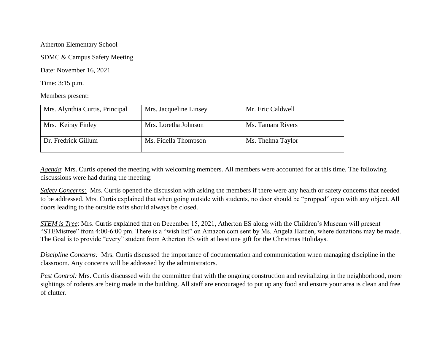Atherton Elementary School

SDMC & Campus Safety Meeting

Date: November 16, 2021

Time: 3:15 p.m.

Members present:

| Mrs. Alynthia Curtis, Principal | Mrs. Jacqueline Linsey | Mr. Eric Caldwell |
|---------------------------------|------------------------|-------------------|
| Mrs. Keiray Finley              | Mrs. Loretha Johnson   | Ms. Tamara Rivers |
| Dr. Fredrick Gillum             | Ms. Fidella Thompson   | Ms. Thelma Taylor |

*Agenda*: Mrs. Curtis opened the meeting with welcoming members. All members were accounted for at this time. The following discussions were had during the meeting:

*Safety Concerns:* Mrs. Curtis opened the discussion with asking the members if there were any health or safety concerns that needed to be addressed. Mrs. Curtis explained that when going outside with students, no door should be "propped" open with any object. All doors leading to the outside exits should always be closed.

*STEM is Tree*: Mrs. Curtis explained that on December 15, 2021, Atherton ES along with the Children's Museum will present "STEMistree" from 4:00-6:00 pm. There is a "wish list" on Amazon.com sent by Ms. Angela Harden, where donations may be made. The Goal is to provide "every" student from Atherton ES with at least one gift for the Christmas Holidays.

*Discipline Concerns:* Mrs. Curtis discussed the importance of documentation and communication when managing discipline in the classroom. Any concerns will be addressed by the administrators.

*Pest Control:* Mrs. Curtis discussed with the committee that with the ongoing construction and revitalizing in the neighborhood, more sightings of rodents are being made in the building. All staff are encouraged to put up any food and ensure your area is clean and free of clutter.